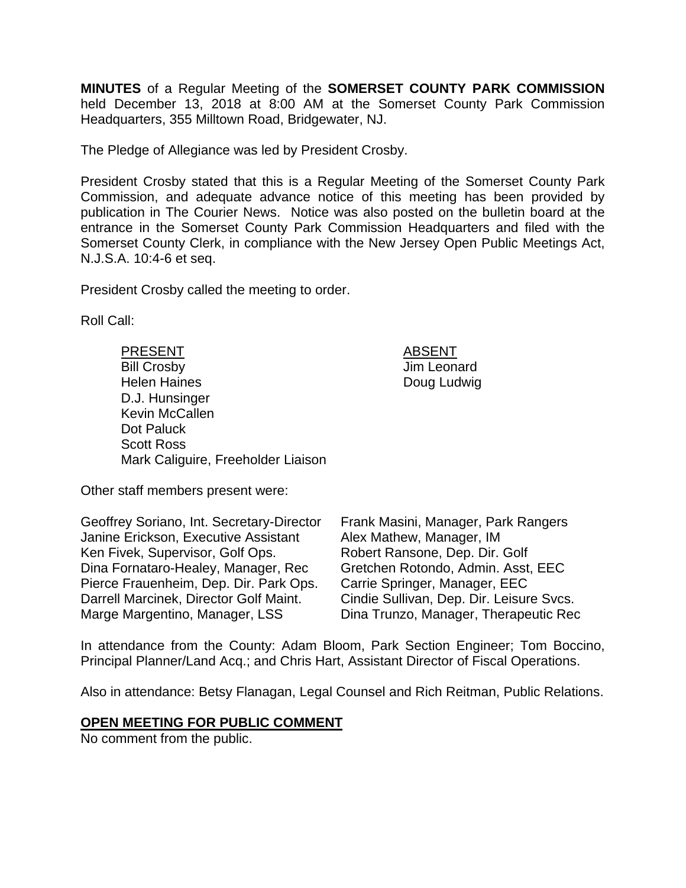**MINUTES** of a Regular Meeting of the **SOMERSET COUNTY PARK COMMISSION** held December 13, 2018 at 8:00 AM at the Somerset County Park Commission Headquarters, 355 Milltown Road, Bridgewater, NJ.

The Pledge of Allegiance was led by President Crosby.

President Crosby stated that this is a Regular Meeting of the Somerset County Park Commission, and adequate advance notice of this meeting has been provided by publication in The Courier News. Notice was also posted on the bulletin board at the entrance in the Somerset County Park Commission Headquarters and filed with the Somerset County Clerk, in compliance with the New Jersey Open Public Meetings Act, N.J.S.A. 10:4-6 et seq.

> **ABSENT** Jim Leonard Doug Ludwig

President Crosby called the meeting to order.

Roll Call:

| <b>PRESENT</b>     |                                    |  |
|--------------------|------------------------------------|--|
| <b>Bill Crosby</b> |                                    |  |
|                    | <b>Helen Haines</b>                |  |
|                    | D.J. Hunsinger                     |  |
|                    | <b>Kevin McCallen</b>              |  |
| Dot Paluck         |                                    |  |
| <b>Scott Ross</b>  |                                    |  |
|                    | Mark Caliguire, Freeholder Liaison |  |

Other staff members present were:

| Geoffrey Soriano, Int. Secretary-Director | Frank Masini, Manager, Park Rangers      |
|-------------------------------------------|------------------------------------------|
| Janine Erickson, Executive Assistant      | Alex Mathew, Manager, IM                 |
| Ken Fivek, Supervisor, Golf Ops.          | Robert Ransone, Dep. Dir. Golf           |
| Dina Fornataro-Healey, Manager, Rec       | Gretchen Rotondo, Admin. Asst, EEC       |
| Pierce Frauenheim, Dep. Dir. Park Ops.    | Carrie Springer, Manager, EEC            |
| Darrell Marcinek, Director Golf Maint.    | Cindie Sullivan, Dep. Dir. Leisure Svcs. |
| Marge Margentino, Manager, LSS            | Dina Trunzo, Manager, Therapeutic Rec    |

In attendance from the County: Adam Bloom, Park Section Engineer; Tom Boccino, Principal Planner/Land Acq.; and Chris Hart, Assistant Director of Fiscal Operations.

Also in attendance: Betsy Flanagan, Legal Counsel and Rich Reitman, Public Relations.

#### **OPEN MEETING FOR PUBLIC COMMENT**

No comment from the public.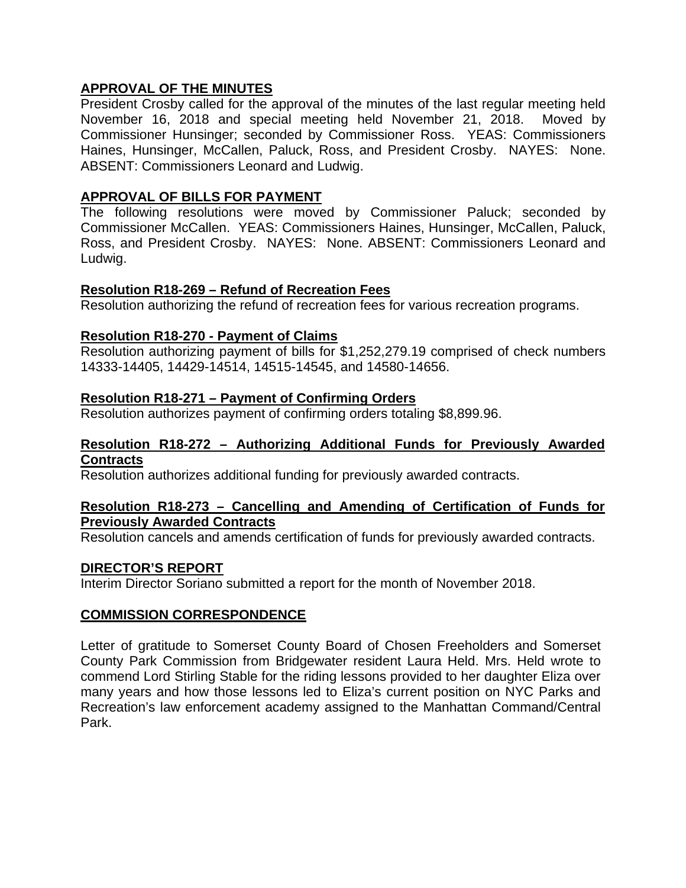# **APPROVAL OF THE MINUTES**

President Crosby called for the approval of the minutes of the last regular meeting held November 16, 2018 and special meeting held November 21, 2018. Moved by Commissioner Hunsinger; seconded by Commissioner Ross. YEAS: Commissioners Haines, Hunsinger, McCallen, Paluck, Ross, and President Crosby. NAYES: None. ABSENT: Commissioners Leonard and Ludwig.

# **APPROVAL OF BILLS FOR PAYMENT**

The following resolutions were moved by Commissioner Paluck; seconded by Commissioner McCallen. YEAS: Commissioners Haines, Hunsinger, McCallen, Paluck, Ross, and President Crosby. NAYES: None. ABSENT: Commissioners Leonard and Ludwig.

## **Resolution R18-269 – Refund of Recreation Fees**

Resolution authorizing the refund of recreation fees for various recreation programs.

# **Resolution R18-270 - Payment of Claims**

Resolution authorizing payment of bills for \$1,252,279.19 comprised of check numbers 14333-14405, 14429-14514, 14515-14545, and 14580-14656.

## **Resolution R18-271 – Payment of Confirming Orders**

Resolution authorizes payment of confirming orders totaling \$8,899.96.

#### **Resolution R18-272 – Authorizing Additional Funds for Previously Awarded Contracts**

Resolution authorizes additional funding for previously awarded contracts.

#### **Resolution R18-273 – Cancelling and Amending of Certification of Funds for Previously Awarded Contracts**

Resolution cancels and amends certification of funds for previously awarded contracts.

## **DIRECTOR'S REPORT**

Interim Director Soriano submitted a report for the month of November 2018.

## **COMMISSION CORRESPONDENCE**

Letter of gratitude to Somerset County Board of Chosen Freeholders and Somerset County Park Commission from Bridgewater resident Laura Held. Mrs. Held wrote to commend Lord Stirling Stable for the riding lessons provided to her daughter Eliza over many years and how those lessons led to Eliza's current position on NYC Parks and Recreation's law enforcement academy assigned to the Manhattan Command/Central Park.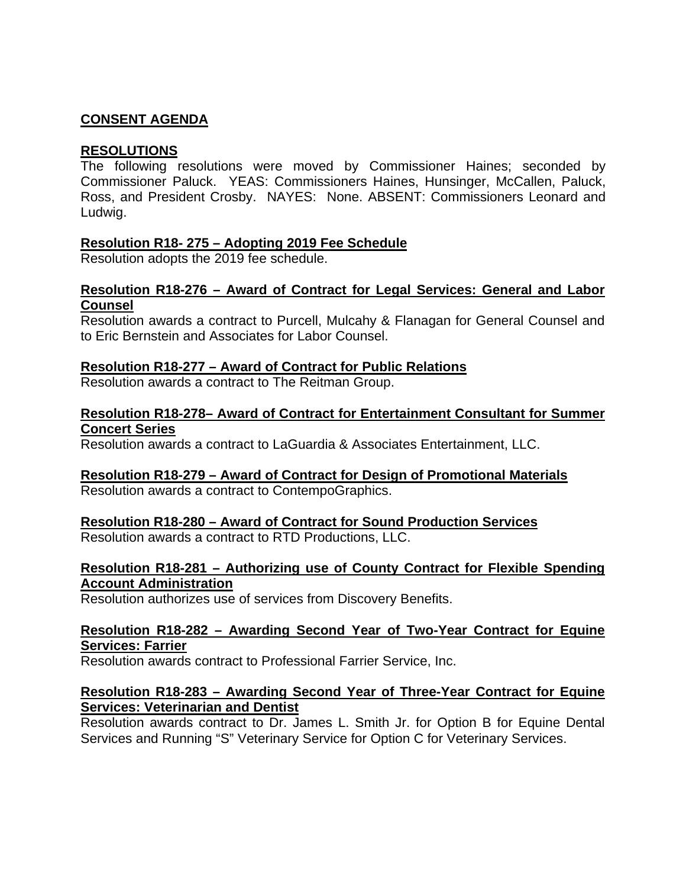# **CONSENT AGENDA**

# **RESOLUTIONS**

The following resolutions were moved by Commissioner Haines; seconded by Commissioner Paluck. YEAS: Commissioners Haines, Hunsinger, McCallen, Paluck, Ross, and President Crosby. NAYES: None. ABSENT: Commissioners Leonard and Ludwig.

# **Resolution R18- 275 – Adopting 2019 Fee Schedule**

Resolution adopts the 2019 fee schedule.

## **Resolution R18-276 – Award of Contract for Legal Services: General and Labor Counsel**

Resolution awards a contract to Purcell, Mulcahy & Flanagan for General Counsel and to Eric Bernstein and Associates for Labor Counsel.

## **Resolution R18-277 – Award of Contract for Public Relations**

Resolution awards a contract to The Reitman Group.

# **Resolution R18-278– Award of Contract for Entertainment Consultant for Summer Concert Series**

Resolution awards a contract to LaGuardia & Associates Entertainment, LLC.

## **Resolution R18-279 – Award of Contract for Design of Promotional Materials**

Resolution awards a contract to ContempoGraphics.

## **Resolution R18-280 – Award of Contract for Sound Production Services**

Resolution awards a contract to RTD Productions, LLC.

# **Resolution R18-281 – Authorizing use of County Contract for Flexible Spending Account Administration**

Resolution authorizes use of services from Discovery Benefits.

## **Resolution R18-282 – Awarding Second Year of Two-Year Contract for Equine Services: Farrier**

Resolution awards contract to Professional Farrier Service, Inc.

## **Resolution R18-283 – Awarding Second Year of Three-Year Contract for Equine Services: Veterinarian and Dentist**

Resolution awards contract to Dr. James L. Smith Jr. for Option B for Equine Dental Services and Running "S" Veterinary Service for Option C for Veterinary Services.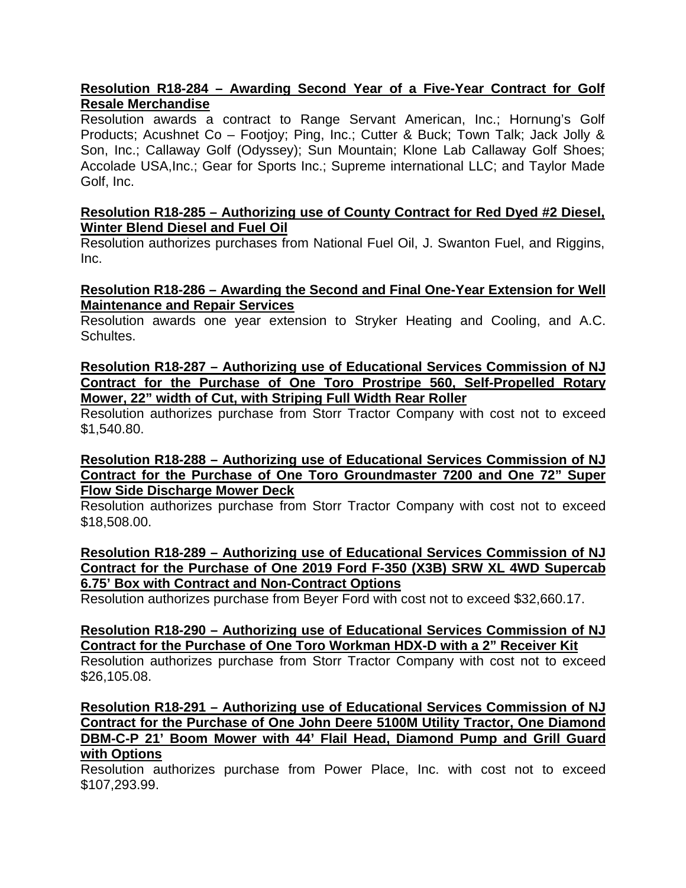# **Resolution R18-284 – Awarding Second Year of a Five-Year Contract for Golf Resale Merchandise**

Resolution awards a contract to Range Servant American, Inc.; Hornung's Golf Products; Acushnet Co – Footjoy; Ping, Inc.; Cutter & Buck; Town Talk; Jack Jolly & Son, Inc.; Callaway Golf (Odyssey); Sun Mountain; Klone Lab Callaway Golf Shoes; Accolade USA,Inc.; Gear for Sports Inc.; Supreme international LLC; and Taylor Made Golf, Inc.

#### **Resolution R18-285 – Authorizing use of County Contract for Red Dyed #2 Diesel, Winter Blend Diesel and Fuel Oil**

Resolution authorizes purchases from National Fuel Oil, J. Swanton Fuel, and Riggins, Inc.

# **Resolution R18-286 – Awarding the Second and Final One-Year Extension for Well Maintenance and Repair Services**

Resolution awards one year extension to Stryker Heating and Cooling, and A.C. Schultes.

#### **Resolution R18-287 – Authorizing use of Educational Services Commission of NJ Contract for the Purchase of One Toro Prostripe 560, Self-Propelled Rotary Mower, 22" width of Cut, with Striping Full Width Rear Roller**

Resolution authorizes purchase from Storr Tractor Company with cost not to exceed \$1,540.80.

#### **Resolution R18-288 – Authorizing use of Educational Services Commission of NJ Contract for the Purchase of One Toro Groundmaster 7200 and One 72" Super Flow Side Discharge Mower Deck**

Resolution authorizes purchase from Storr Tractor Company with cost not to exceed \$18,508.00.

#### **Resolution R18-289 – Authorizing use of Educational Services Commission of NJ Contract for the Purchase of One 2019 Ford F-350 (X3B) SRW XL 4WD Supercab 6.75' Box with Contract and Non-Contract Options**

Resolution authorizes purchase from Beyer Ford with cost not to exceed \$32,660.17.

## **Resolution R18-290 – Authorizing use of Educational Services Commission of NJ Contract for the Purchase of One Toro Workman HDX-D with a 2" Receiver Kit**

Resolution authorizes purchase from Storr Tractor Company with cost not to exceed \$26,105.08.

**Resolution R18-291 – Authorizing use of Educational Services Commission of NJ Contract for the Purchase of One John Deere 5100M Utility Tractor, One Diamond DBM-C-P 21' Boom Mower with 44' Flail Head, Diamond Pump and Grill Guard with Options**

Resolution authorizes purchase from Power Place, Inc. with cost not to exceed \$107,293.99.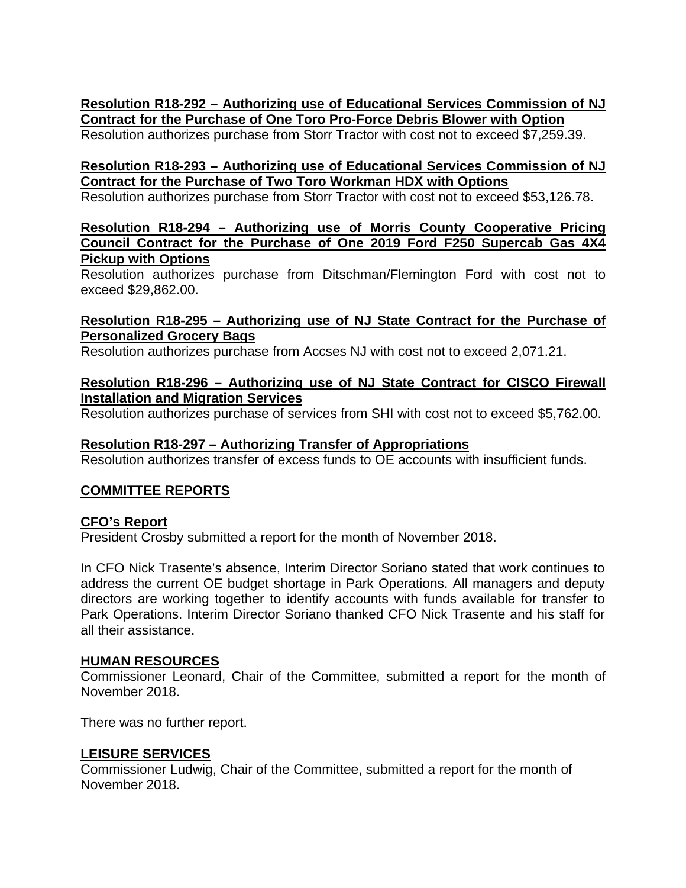# **Resolution R18-292 – Authorizing use of Educational Services Commission of NJ Contract for the Purchase of One Toro Pro-Force Debris Blower with Option**

Resolution authorizes purchase from Storr Tractor with cost not to exceed \$7,259.39.

# **Resolution R18-293 – Authorizing use of Educational Services Commission of NJ Contract for the Purchase of Two Toro Workman HDX with Options**

Resolution authorizes purchase from Storr Tractor with cost not to exceed \$53,126.78.

#### **Resolution R18-294 – Authorizing use of Morris County Cooperative Pricing Council Contract for the Purchase of One 2019 Ford F250 Supercab Gas 4X4 Pickup with Options**

Resolution authorizes purchase from Ditschman/Flemington Ford with cost not to exceed \$29,862.00.

## **Resolution R18-295 – Authorizing use of NJ State Contract for the Purchase of Personalized Grocery Bags**

Resolution authorizes purchase from Accses NJ with cost not to exceed 2,071.21.

# **Resolution R18-296 – Authorizing use of NJ State Contract for CISCO Firewall Installation and Migration Services**

Resolution authorizes purchase of services from SHI with cost not to exceed \$5,762.00.

# **Resolution R18-297 – Authorizing Transfer of Appropriations**

Resolution authorizes transfer of excess funds to OE accounts with insufficient funds.

# **COMMITTEE REPORTS**

# **CFO's Report**

President Crosby submitted a report for the month of November 2018.

In CFO Nick Trasente's absence, Interim Director Soriano stated that work continues to address the current OE budget shortage in Park Operations. All managers and deputy directors are working together to identify accounts with funds available for transfer to Park Operations. Interim Director Soriano thanked CFO Nick Trasente and his staff for all their assistance.

## **HUMAN RESOURCES**

Commissioner Leonard, Chair of the Committee, submitted a report for the month of November 2018.

There was no further report.

# **LEISURE SERVICES**

Commissioner Ludwig, Chair of the Committee, submitted a report for the month of November 2018.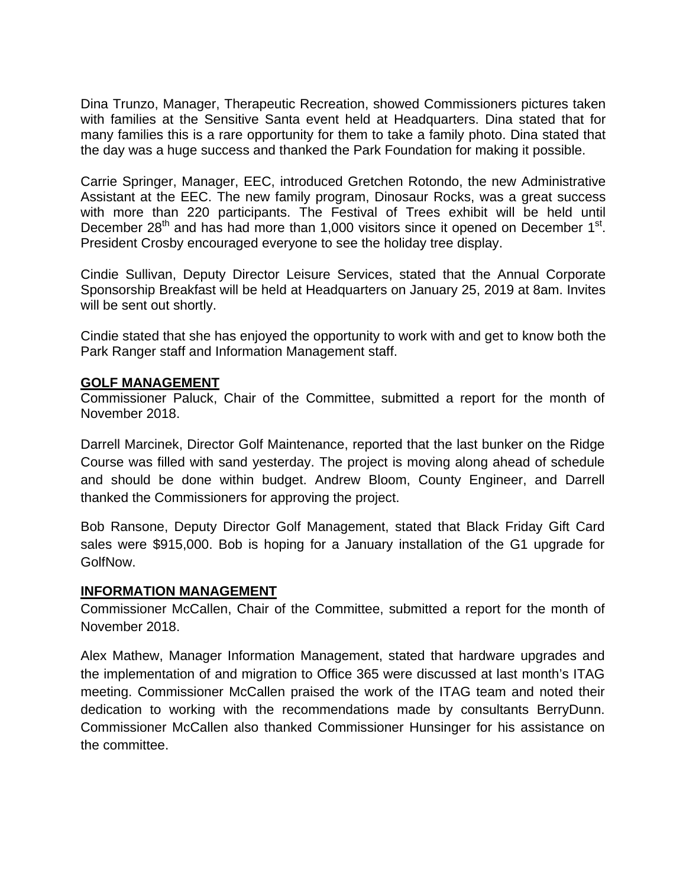Dina Trunzo, Manager, Therapeutic Recreation, showed Commissioners pictures taken with families at the Sensitive Santa event held at Headquarters. Dina stated that for many families this is a rare opportunity for them to take a family photo. Dina stated that the day was a huge success and thanked the Park Foundation for making it possible.

Carrie Springer, Manager, EEC, introduced Gretchen Rotondo, the new Administrative Assistant at the EEC. The new family program, Dinosaur Rocks, was a great success with more than 220 participants. The Festival of Trees exhibit will be held until December  $28<sup>th</sup>$  and has had more than 1,000 visitors since it opened on December  $1<sup>st</sup>$ . President Crosby encouraged everyone to see the holiday tree display.

Cindie Sullivan, Deputy Director Leisure Services, stated that the Annual Corporate Sponsorship Breakfast will be held at Headquarters on January 25, 2019 at 8am. Invites will be sent out shortly.

Cindie stated that she has enjoyed the opportunity to work with and get to know both the Park Ranger staff and Information Management staff.

## **GOLF MANAGEMENT**

Commissioner Paluck, Chair of the Committee, submitted a report for the month of November 2018.

Darrell Marcinek, Director Golf Maintenance, reported that the last bunker on the Ridge Course was filled with sand yesterday. The project is moving along ahead of schedule and should be done within budget. Andrew Bloom, County Engineer, and Darrell thanked the Commissioners for approving the project.

Bob Ransone, Deputy Director Golf Management, stated that Black Friday Gift Card sales were \$915,000. Bob is hoping for a January installation of the G1 upgrade for GolfNow.

## **INFORMATION MANAGEMENT**

Commissioner McCallen, Chair of the Committee, submitted a report for the month of November 2018.

Alex Mathew, Manager Information Management, stated that hardware upgrades and the implementation of and migration to Office 365 were discussed at last month's ITAG meeting. Commissioner McCallen praised the work of the ITAG team and noted their dedication to working with the recommendations made by consultants BerryDunn. Commissioner McCallen also thanked Commissioner Hunsinger for his assistance on the committee.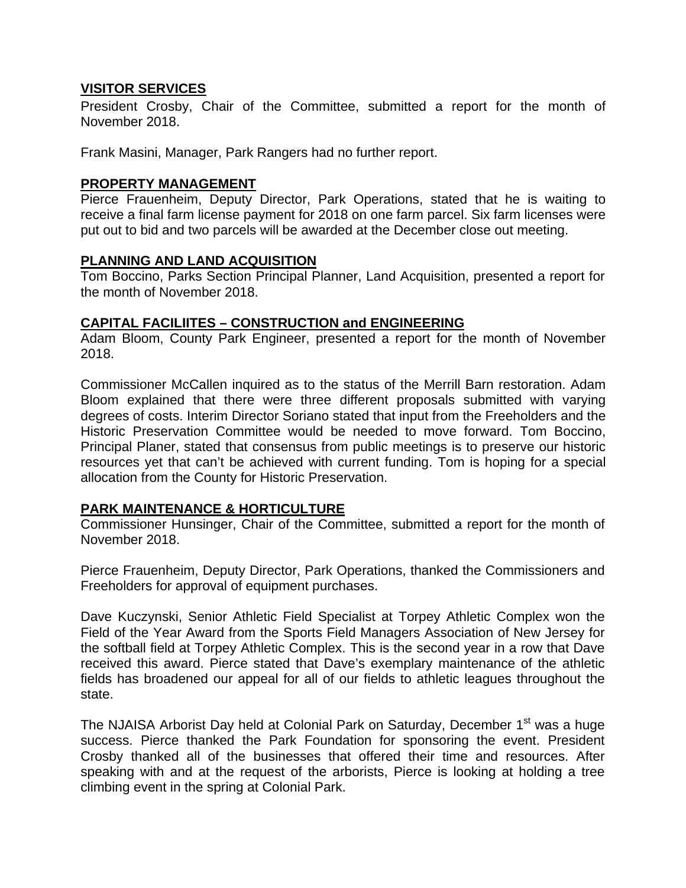## **VISITOR SERVICES**

President Crosby, Chair of the Committee, submitted a report for the month of November 2018.

Frank Masini, Manager, Park Rangers had no further report.

#### **PROPERTY MANAGEMENT**

Pierce Frauenheim, Deputy Director, Park Operations, stated that he is waiting to receive a final farm license payment for 2018 on one farm parcel. Six farm licenses were put out to bid and two parcels will be awarded at the December close out meeting.

#### **PLANNING AND LAND ACQUISITION**

Tom Boccino, Parks Section Principal Planner, Land Acquisition, presented a report for the month of November 2018.

#### **CAPITAL FACILIITES – CONSTRUCTION and ENGINEERING**

Adam Bloom, County Park Engineer, presented a report for the month of November 2018.

Commissioner McCallen inquired as to the status of the Merrill Barn restoration. Adam Bloom explained that there were three different proposals submitted with varying degrees of costs. Interim Director Soriano stated that input from the Freeholders and the Historic Preservation Committee would be needed to move forward. Tom Boccino, Principal Planer, stated that consensus from public meetings is to preserve our historic resources yet that can't be achieved with current funding. Tom is hoping for a special allocation from the County for Historic Preservation.

## **PARK MAINTENANCE & HORTICULTURE**

Commissioner Hunsinger, Chair of the Committee, submitted a report for the month of November 2018.

Pierce Frauenheim, Deputy Director, Park Operations, thanked the Commissioners and Freeholders for approval of equipment purchases.

Dave Kuczynski, Senior Athletic Field Specialist at Torpey Athletic Complex won the Field of the Year Award from the Sports Field Managers Association of New Jersey for the softball field at Torpey Athletic Complex. This is the second year in a row that Dave received this award. Pierce stated that Dave's exemplary maintenance of the athletic fields has broadened our appeal for all of our fields to athletic leagues throughout the state.

The NJAISA Arborist Day held at Colonial Park on Saturday, December 1<sup>st</sup> was a huge success. Pierce thanked the Park Foundation for sponsoring the event. President Crosby thanked all of the businesses that offered their time and resources. After speaking with and at the request of the arborists, Pierce is looking at holding a tree climbing event in the spring at Colonial Park.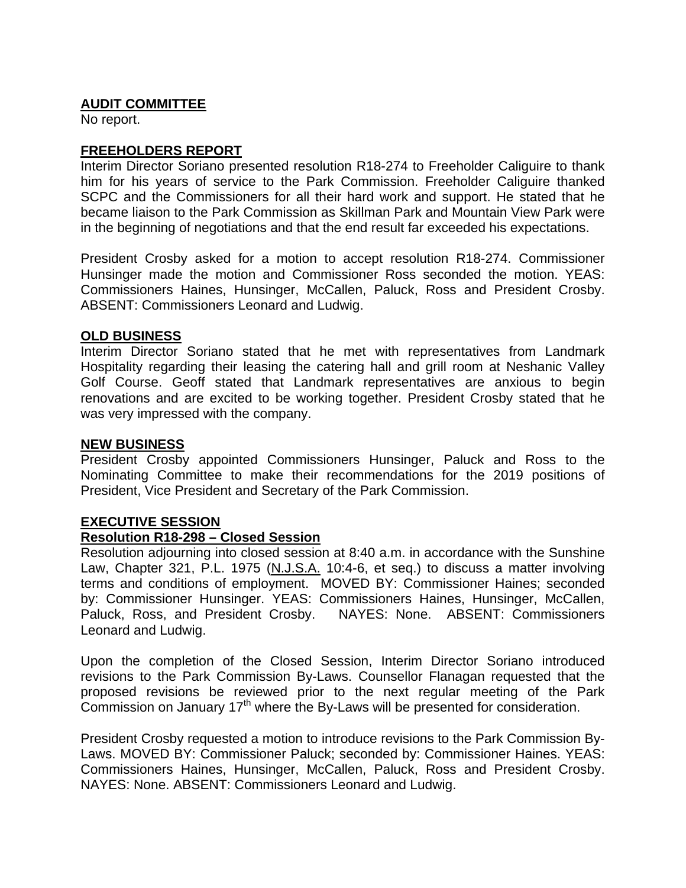# **AUDIT COMMITTEE**

No report.

# **FREEHOLDERS REPORT**

Interim Director Soriano presented resolution R18-274 to Freeholder Caliguire to thank him for his years of service to the Park Commission. Freeholder Caliguire thanked SCPC and the Commissioners for all their hard work and support. He stated that he became liaison to the Park Commission as Skillman Park and Mountain View Park were in the beginning of negotiations and that the end result far exceeded his expectations.

President Crosby asked for a motion to accept resolution R18-274. Commissioner Hunsinger made the motion and Commissioner Ross seconded the motion. YEAS: Commissioners Haines, Hunsinger, McCallen, Paluck, Ross and President Crosby. ABSENT: Commissioners Leonard and Ludwig.

## **OLD BUSINESS**

Interim Director Soriano stated that he met with representatives from Landmark Hospitality regarding their leasing the catering hall and grill room at Neshanic Valley Golf Course. Geoff stated that Landmark representatives are anxious to begin renovations and are excited to be working together. President Crosby stated that he was very impressed with the company.

#### **NEW BUSINESS**

President Crosby appointed Commissioners Hunsinger, Paluck and Ross to the Nominating Committee to make their recommendations for the 2019 positions of President, Vice President and Secretary of the Park Commission.

## **EXECUTIVE SESSION**

## **Resolution R18-298 – Closed Session**

Resolution adjourning into closed session at 8:40 a.m. in accordance with the Sunshine Law, Chapter 321, P.L. 1975 (N.J.S.A. 10:4-6, et seq.) to discuss a matter involving terms and conditions of employment. MOVED BY: Commissioner Haines; seconded by: Commissioner Hunsinger. YEAS: Commissioners Haines, Hunsinger, McCallen, Paluck, Ross, and President Crosby. NAYES: None. ABSENT: Commissioners Leonard and Ludwig.

Upon the completion of the Closed Session, Interim Director Soriano introduced revisions to the Park Commission By-Laws. Counsellor Flanagan requested that the proposed revisions be reviewed prior to the next regular meeting of the Park Commission on January 17th where the By-Laws will be presented for consideration.

President Crosby requested a motion to introduce revisions to the Park Commission By-Laws. MOVED BY: Commissioner Paluck; seconded by: Commissioner Haines. YEAS: Commissioners Haines, Hunsinger, McCallen, Paluck, Ross and President Crosby. NAYES: None. ABSENT: Commissioners Leonard and Ludwig.